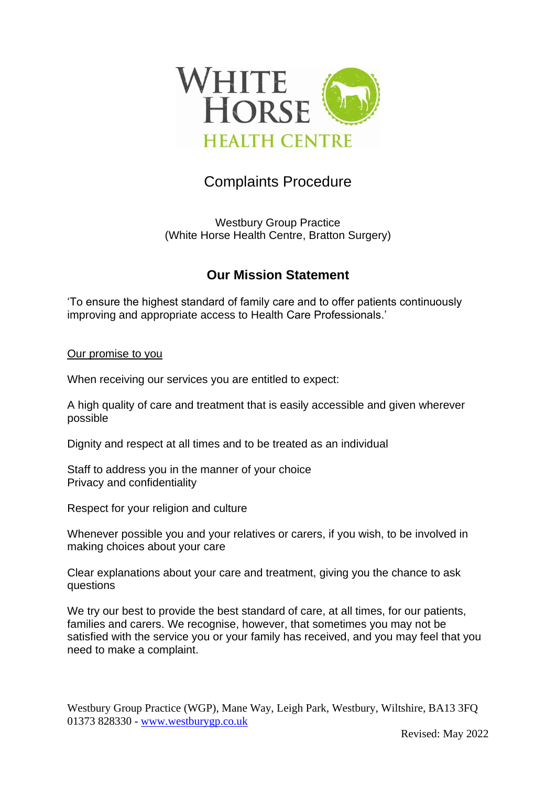

# Complaints Procedure

Westbury Group Practice (White Horse Health Centre, Bratton Surgery)

## **Our Mission Statement**

'To ensure the highest standard of family care and to offer patients continuously improving and appropriate access to Health Care Professionals.'

Our promise to you

When receiving our services you are entitled to expect:

A high quality of care and treatment that is easily accessible and given wherever possible

Dignity and respect at all times and to be treated as an individual

Staff to address you in the manner of your choice Privacy and confidentiality

Respect for your religion and culture

Whenever possible you and your relatives or carers, if you wish, to be involved in making choices about your care

Clear explanations about your care and treatment, giving you the chance to ask questions

We try our best to provide the best standard of care, at all times, for our patients, families and carers. We recognise, however, that sometimes you may not be satisfied with the service you or your family has received, and you may feel that you need to make a complaint.

Westbury Group Practice (WGP), Mane Way, Leigh Park, Westbury, Wiltshire, BA13 3FQ 01373 828330 - [www.westburygp.co.uk](http://www.westburygp.co.uk/)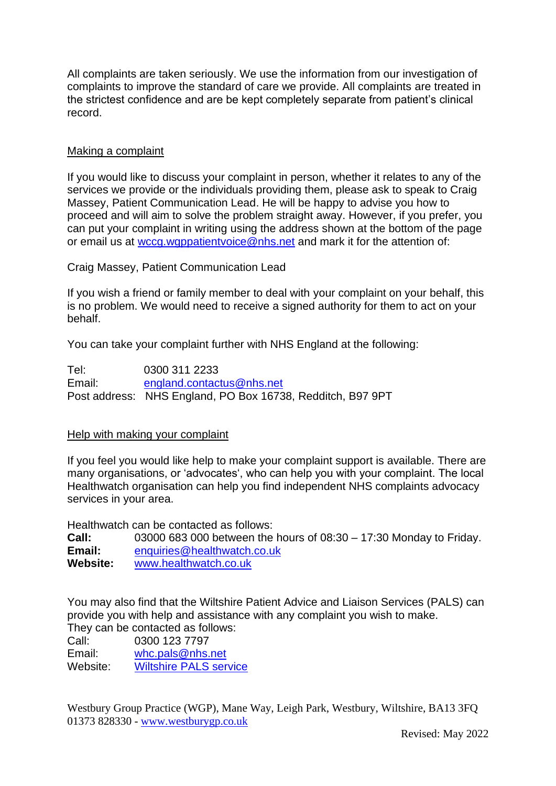All complaints are taken seriously. We use the information from our investigation of complaints to improve the standard of care we provide. All complaints are treated in the strictest confidence and are be kept completely separate from patient's clinical record.

### Making a complaint

If you would like to discuss your complaint in person, whether it relates to any of the services we provide or the individuals providing them, please ask to speak to Craig Massey, Patient Communication Lead. He will be happy to advise you how to proceed and will aim to solve the problem straight away. However, if you prefer, you can put your complaint in writing using the address shown at the bottom of the page or email us at [wccg.wgppatientvoice@nhs.net](mailto:wccg.wgppatientvoice@nhs.net) and mark it for the attention of:

Craig Massey, Patient Communication Lead

If you wish a friend or family member to deal with your complaint on your behalf, this is no problem. We would need to receive a signed authority for them to act on your behalf.

You can take your complaint further with NHS England at the following:

Tel: 0300 311 2233 Email: [england.contactus@nhs.net](mailto:england.contactus@nhs.net) Post address: NHS England, PO Box 16738, Redditch, B97 9PT

#### Help with making your complaint

If you feel you would like help to make your complaint support is available. There are many organisations, or 'advocates', who can help you with your complaint. The local Healthwatch organisation can help you find independent NHS complaints advocacy services in your area.

Healthwatch can be contacted as follows:

**Call:** 03000 683 000 between the hours of 08:30 – 17:30 Monday to Friday. **Email:** [enquiries@healthwatch.co.uk](mailto:enquiries@healthwatch.co.uk) **Website:** [www.healthwatch.co.uk](http://www.healthwatch.co.uk/)

You may also find that the Wiltshire Patient Advice and Liaison Services (PALS) can provide you with help and assistance with any complaint you wish to make. They can be contacted as follows:

Call: 0300 123 7797 Email: [whc.pals@nhs.net](mailto:whc.pals@nhs.net)

Website: [Wiltshire PALS service](https://wiltshirehealthandcare.nhs.uk/contact/)

Westbury Group Practice (WGP), Mane Way, Leigh Park, Westbury, Wiltshire, BA13 3FQ 01373 828330 - [www.westburygp.co.uk](http://www.westburygp.co.uk/)